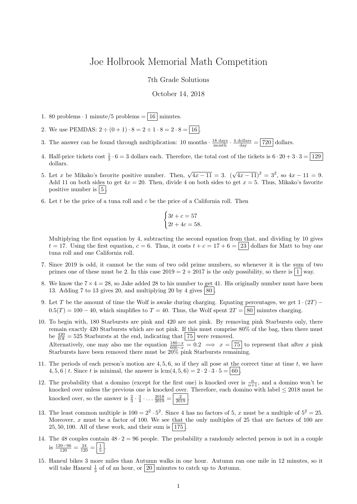## Joe Holbrook Memorial Math Competition

7th Grade Solutions

## October 14, 2018

- 1. 80 problems  $\cdot$  1 minute/5 problems  $=$   $\boxed{16}$  minutes.
- 2. We use PEMDAS:  $2 \div (0+1) \cdot 8 = 2 \div 1 \cdot 8 = 2 \cdot 8 = 16$
- 3. The answer can be found through multiplication: 10 months  $\cdot \frac{18 \text{ days}}{\text{month}} \cdot \frac{4 \text{ dollars}}{\text{day}} = 720$  dollars.
- 4. Half-price tickets cost  $\frac{1}{2} \cdot 6 = 3$  dollars each. Therefore, the total cost of the tickets is  $6 \cdot 20 + 3 \cdot 3 = 129$ dollars.
- 5. Let x be Mikako's favorite positive number. Then,  $\sqrt{4x-11} = 3$ .  $(\sqrt{4x-11})^2 = 3^2$ , so  $4x 11 = 9$ . Add 11 on both sides to get  $4x = 20$ . Then, divide 4 on both sides to get  $x = 5$ . Thus, Mikako's favorite positive number is  $\vert 5 \vert$
- 6. Let t be the price of a tuna roll and c be the price of a California roll. Then

$$
\begin{cases} 3t + c = 57 \\ 2t + 4c = 58. \end{cases}
$$

Multiplying the first equation by 4, subtracting the second equation from that, and dividing by 10 gives  $t = 17$ . Using the first equation,  $c = 6$ . Thus, it costs  $t + c = 17 + 6 = 23$  dollars for Matt to buy one tuna roll and one California roll.

- 7. Since 2019 is odd, it cannot be the sum of two odd prime numbers, so whenever it is the sum of two primes one of these must be 2. In this case  $2019 = 2 + 2017$  is the only possibility, so there is  $\boxed{1}$  way.
- 8. We know the  $7 \times 4 = 28$ , so Jake added 28 to his number to get 41. His originally number must have been 13. Adding 7 to 13 gives 20, and multiplying 20 by 4 gives  $\vert 80 \vert$
- 9. Let T be the amount of time the Wolf is awake during charging. Equating percentages, we get  $1 \cdot (2T)$   $0.5(T) = 100 - 40$ , which simplifies to  $T = 40$ . Thus, the Wolf spent  $2T = 80$  minutes charging.
- 10. To begin with, 180 Starbursts are pink and 420 are not pink. By removing pink Starbursts only, there remain exactly 420 Starbursts which are not pink. If this must comprise 80% of the bag, then there must be  $\frac{420}{0.8} = 525$  Starbursts at the end, indicating that  $\boxed{75}$  were removed. Alternatively, one may also use the equation  $\frac{180-x}{600-x} = 0.2 \implies x = \boxed{75}$  to represent that after x pink
- 11. The periods of each person's motion are 4, 5, 6, so if they all pose at the correct time at time t, we have 4, 5, 6 | t. Since t is minimal, the answer is  $\text{lcm}(4, 5, 6) = 2 \cdot 2 \cdot 3 \cdot 5 = | 60 |$

Starbursts have been removed there must be 20% pink Starbursts remaining.

- 12. The probability that a domino (except for the first one) is knocked over is  $\frac{n}{n+1}$ , and a domino won't be knocked over unless the previous one is knocked over. Therefore, each domino with label  $\leq 2018$  must be knocked over, so the answer is  $\frac{2}{3} \cdot \frac{3}{4} \cdot ... \cdot \frac{2018}{2019} = \frac{2}{2019}$ .
- 13. The least common multiple is  $100 = 2^2 \cdot 5^2$ . Since 4 has no factors of 5, x must be a multiple of  $5^2 = 25$ . Moreover, x must be a factor of 100. We see that the only multiples of 25 that are factors of 100 are  $25, 50, 100$ . All of these work, and their sum is  $175$ .
- 14. The 48 couples contain  $48 \cdot 2 = 96$  people. The probability a randomly selected person is not in a couple is  $\frac{120-96}{120} = \frac{24}{120} = \frac{1}{5}$ .
- 15. Haneul bikes 3 more miles than Autumn walks in one hour. Autumn ran one mile in 12 minutes, so it will take Haneul  $\frac{1}{3}$  of of an hour, or  $\boxed{20}$  minutes to catch up to Autumn.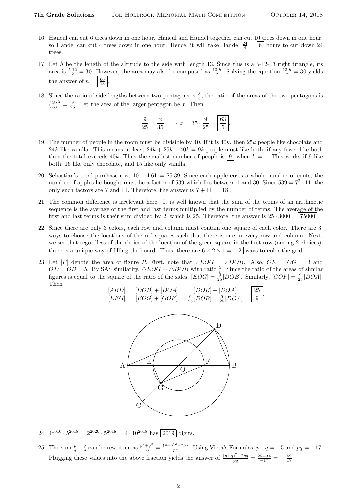- 16. Haneul can cut 6 trees down in one hour. Haneul and Handel together can cut 10 trees down in one hour, so Handel can cut 4 trees down in one hour. Hence, it will take Handel  $\frac{24}{4} = \boxed{6}$  hours to cut down 24 trees.
- 17. Let  $h$  be the length of the altitude to the side with length 13. Since this is a 5-12-13 right triangle, its area is  $\frac{5 \cdot 12}{2} = 30$ . However, the area may also be computed as  $\frac{13 \cdot h}{2}$ . Solving the equation  $\frac{13 \cdot h}{2} = 30$  yields the answer of  $h = \frac{60}{13}$ .
- 18. Since the ratio of side-lengths between two pentagons is  $\frac{3}{5}$ , the ratio of the areas of the two pentagons is  $\left(\frac{3}{5}\right)^2 = \frac{9}{25}$ . Let the area of the larger pentagon be x. Then

$$
\frac{9}{25} = \frac{x}{35} \implies x = 35 \cdot \frac{9}{25} = \boxed{\frac{63}{5}}.
$$

- 19. The number of people in the room must be divisible by 40. If it is  $40k$ , then  $25k$  people like chocolate and 24k like vanilla. This means at least  $24k + 25k - 40k = 9k$  people must like both; if any fewer like both then the total exceeds 40k. Thus the smallest number of people is  $\boxed{9}$  when  $k = 1$ . This works if 9 like both, 16 like only chocolate, and 15 like only vanilla.
- 20. Sebastian's total purchase cost  $10 4.61 = $5.39$ . Since each apple costs a whole number of cents, the number of apples he bought must be a factor of 539 which lies between 1 and 30. Since  $539 = 7^2 \cdot 11$ , the only such factors are 7 and 11. Therefore, the answer is  $7 + 11 = 18$ .
- 21. The common difference is irrelevant here. It is well known that the sum of the terms of an arithmetic sequence is the average of the first and last terms multiplied by the number of terms. The average of the first and last terms is their sum divided by 2, which is 25. Therefore, the answer is  $25 \cdot 3000 = | 75000 |$
- 22. Since there are only 3 colors, each row and column must contain one square of each color. There are 3! ways to choose the locations of the red squares such that there is one in every row and column. Next, we see that regardless of the choice of the location of the green square in the first row (among 2 choices), there is a unique way of filling the board. Thus, there are  $6 \times 2 \times 1 = |12|$  ways to color the grid.
- 23. Let [P] denote the area of figure P. First, note that ∠EOG = ∠DOB. Also,  $OE = OG = 3$  and  $OD = OB = 5$ . By SAS similarity,  $\triangle EOG \sim \triangle DOB$  with ratio  $\frac{3}{5}$ . Since the ratio of the areas of similar figures is equal to the square of the ratio of the sides,  $[EOG] = \frac{9}{25} [DOB]$ . Similarly,  $[GOF] = \frac{9}{25} [DOA]$ . Then

$$
\frac{[ABD]}{[EFG]} = \frac{[DOB] + [DOA]}{[EOG] + [GOF]} = \frac{[DOB] + [DOA]}{\frac{9}{25}[DOB] + \frac{9}{25}[DOA]} = \boxed{\frac{25}{9}}.
$$



- 24.  $4^{1010} \cdot 5^{2018} = 2^{2020} \cdot 5^{2018} = 4 \cdot 10^{2018}$  has  $\boxed{2019}$  digits.
- 25. The sum  $\frac{p}{q} + \frac{q}{p}$  can be rewritten as  $\frac{p^2+q^2}{pq} = \frac{(p+q)^2-2pq}{pq}$  $\frac{p}{pq}$ . Using Vieta's Formulas,  $p+q = -5$  and  $pq = -17$ . Plugging these values into the above fraction yields the answer of  $\frac{(p+q)^2-2pq}{pq} = \frac{25+34}{-17} = \frac{59}{-17}$ .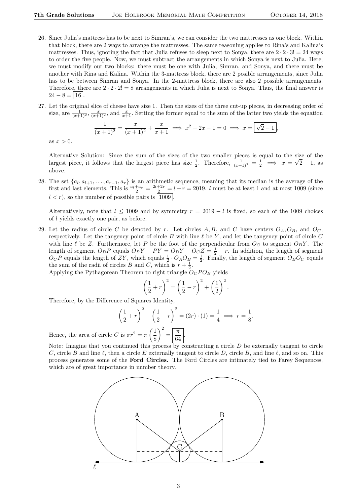- 26. Since Julia's mattress has to be next to Simran's, we can consider the two mattresses as one block. Within that block, there are 2 ways to arrange the mattresses. The same reasoning applies to Rina's and Kalina's mattresses. Thus, ignoring the fact that Julia refuses to sleep next to Sonya, there are  $2 \cdot 2 \cdot 3! = 24$  ways to order the five people. Now, we must subtract the arrangements in which Sonya is next to Julia. Here, we must modify our two blocks: there must be one with Julia, Simran, and Sonya, and there must be another with Rina and Kalina. Within the 3-mattress block, there are 2 posible arrangements, since Julia has to be between Simran and Sonya. In the 2-mattress block, there are also 2 possible arrangements. Therefore, there are  $2 \cdot 2 \cdot 2! = 8$  arrangements in which Julia is next to Sonya. Thus, the final answer is  $24 - 8 = 16$ .
- 27. Let the original slice of cheese have size 1. Then the sizes of the three cut-up pieces, in decreasing order of size, are  $\frac{1}{(x+1)^2}$ ,  $\frac{x}{(x+1)^2}$ , and  $\frac{x}{x+1}$ . Setting the former equal to the sum of the latter two yields the equation

$$
\frac{1}{(x+1)^2} = \frac{x}{(x+1)^2} + \frac{x}{x+1} \implies x^2 + 2x - 1 = 0 \implies x = \boxed{\sqrt{2} - 1},
$$

as  $x > 0$ .

Alternative Solution: Since the sum of the sizes of the two smaller pieces is equal to the size of the largest piece, it follows that the largest piece has size  $\frac{1}{2}$ . Therefore,  $\frac{1}{(x+1)^2} = \frac{1}{2} \implies x = \sqrt{2} - 1$ , as above.

28. The set  $\{a_l, a_{l+1}, \ldots, a_{r-1}, a_r\}$  is an arithmetic sequence, meaning that its median is the average of the first and last elements. This is  $\frac{a_l+a_r}{2} = \frac{2l+2r}{2} = l+r = 2019$ . *l* must be at least 1 and at most 1009 (since  $l < r$ , so the number of possible pairs is | 1009 |

Alternatively, note that  $l \le 1009$  and by symmetry  $r = 2019 - l$  is fixed, so each of the 1009 choices of l yields exactly one pair, as before.

29. Let the radius of circle C be denoted by r. Let circles A, B, and C have centers  $O_A$ ,  $O_B$ , and  $O_C$ , respectively. Let the tangency point of circle B with line  $\ell$  be Y, and let the tangency point of circle C with line  $\ell$  be Z. Furthermore, let P be the foot of the perpendicular from  $O_C$  to segment  $O_BY$ . The length of segment  $O_B P$  equals  $O_B Y - PY = O_B Y - O_C Z = \frac{1}{2} - r$ . In addition, the length of segment  $O_c P$  equals the length of ZY, which equals  $\frac{1}{2} \cdot O_A O_B = \frac{1}{2}$ . Finally, the length of segment  $O_B O_C$  equals the sum of the radii of circles B and C, which is  $r + \frac{1}{2}$ .

Applying the Pythagorean Theorem to right triangle  $O_CPO_B$  yields

$$
\left(\frac{1}{2} + r\right)^2 = \left(\frac{1}{2} - r\right)^2 + \left(\frac{1}{2}\right)^2.
$$

Therefore, by the Difference of Squares Identity,

$$
\left(\frac{1}{2} + r\right)^2 - \left(\frac{1}{2} - r\right)^2 = (2r) \cdot (1) = \frac{1}{4} \implies r = \frac{1}{8}.
$$

Hence, the area of circle C is  $\pi r^2 = \pi \left(\frac{1}{2}\right)$ 8  $\bigg\}^2 = \bigg[\frac{\pi}{a}\bigg]$  $\frac{1}{64}$ 

Note: Imagine that you continued this process by constructing a circle  $D$  be externally tangent to circle C, circle B and line  $\ell$ , then a circle E externally tangent to circle D, circle B, and line  $\ell$ , and so on. This process generates some of the Ford Circles. The Ford Circles are intimately tied to Farey Sequences, which are of great importance in number theory.

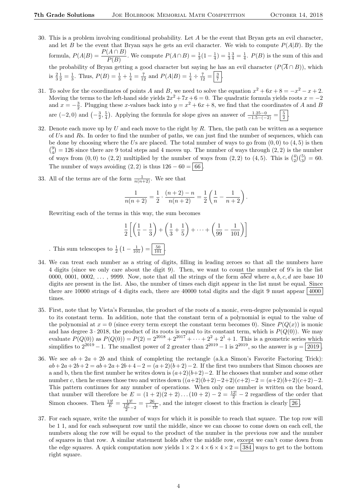- 30. This is a problem involving conditional probability. Let A be the event that Bryan gets an evil character, and let B be the event that Bryan says he gets an evil character. We wish to compute  $P(A|B)$ . By the formula,  $P(A|B) = \frac{P(A \cap B)}{P(B)}$ . We compute  $P(A \cap B) = \frac{1}{3}(1 - \frac{1}{4}) = \frac{1}{3}\frac{3}{4} = \frac{1}{4}$ .  $P(B)$  is the sum of this and the probability of Bryan getting a good character but saying he has an evil character  $(P(\overline{A} \cap B))$ , which is  $\frac{2}{3}\frac{1}{2} = \frac{1}{3}$ . Thus,  $P(B) = \frac{1}{3} + \frac{1}{4} = \frac{7}{12}$  and  $P(A|B) = \frac{1}{4} \div \frac{7}{12} = \frac{3}{7}$ .
- 31. To solve for the coordinates of points A and B, we need to solve the equation  $x^2 + 6x + 8 = -x^2 x + 2$ . Moving the terms to the left-hand side yields  $2x^2 + 7x + 6 = 0$ . The quadratic formula yields roots  $x = -2$ and  $x = -\frac{3}{2}$ . Plugging these x-values back into  $y = x^2 + 6x + 8$ , we find that the coordinates of A and B are  $(-2,0)$  and  $\left(-\frac{3}{2},\frac{5}{4}\right)$ . Applying the formula for slope gives an answer of  $\frac{1.25-0}{-1.5-(-2)} = \left|\frac{5}{2}\right|$ .
- 32. Denote each move up by U and each move to the right by R. Then, the path can be written as a sequence of Us and Rs. In order to find the number of paths, we can just find the number of sequences, which can be done by choosing where the Us are placed. The total number of ways to go from  $(0, 0)$  to  $(4, 5)$  is then  $\binom{9}{4} = 126$  since there are 9 total steps and 4 moves up. The number of ways through  $(2, 2)$  is the number of ways from  $(0,0)$  to  $(2,2)$  multiplied by the number of ways from  $(2,2)$  to  $(4,5)$ . This is  $\binom{4}{2}\binom{5}{3} = 60$ . The number of ways avoiding  $(2, 2)$  is thus  $126 - 60 = | 66 |$ .
- 33. All of the terms are of the form  $\frac{1}{n(n+2)}$ . We see that

$$
\frac{1}{n(n+2)} = \frac{1}{2} \cdot \frac{(n+2)-n}{n(n+2)} = \frac{1}{2} \left( \frac{1}{n} - \frac{1}{n+2} \right).
$$

Rewriting each of the terms in this way, the sum becomes

$$
\frac{1}{2}\left[\left(\frac{1}{1}-\frac{1}{3}\right)+\left(\frac{1}{3}+\frac{1}{5}\right)+\cdots+\left(\frac{1}{99}-\frac{1}{101}\right)\right]
$$

This sum telescopes to  $\frac{1}{2}(1 - \frac{1}{101}) = \frac{50}{101}$ .

- 34. We can treat each number as a string of digits, filling in leading zeroes so that all the numbers have 4 digits (since we only care about the digit 9). Then, we want to count the number of 9's in the list 0000, 0001, 0002,  $\dots$ , 9999. Now, note that all the strings of the form abcd where a, b, c, d are base 10 digits are present in the list. Also, the number of times each digit appear in the list must be equal. Since there are 10000 strings of 4 digits each, there are 40000 total digits and the digit 9 must appear  $\vert$ 4000 times.
- 35. First, note that by Vieta's Formulas, the product of the roots of a monic, even-degree polynomial is equal to its constant term. In addition, note that the constant term of a polynomial is equal to the value of the polynomial at  $x = 0$  (since every term except the constant term becomes 0). Since  $P(Q(x))$  is monic and has degree  $3 \cdot 2018$ , the product of its roots is equal to its constant term, which is  $P(Q(0))$ . We may evaluate  $P(Q(0))$  as  $P(Q(0)) = P(2) = 2^{2018} + 2^{2017} + \cdots + 2^2 + 2^1 + 1$ . This is a geometric series which simplifies to  $2^{2019} - 1$ . The smallest power of 2 greater than  $2^{2019} - 1$  is  $2^{2019}$ , so the answer is  $y = 2019$ .
- 36. We see  $ab + 2a + 2b$  and think of completing the rectangle (a.k.a Simon's Favorite Factoring Trick):  $ab+2a+2b+2 = ab+2a+2b+4-2 = (a+2)(b+2)-2$ . If the first two numbers that Simon chooses are a and b, then the first number he writes down is  $(a+2)(b+2)-2$ . If he chooses that number and some other number c, then he erases those two and writes down  $((a+2)(b+2)-2+2)(c+2)-2 = (a+2)(b+2)(c+2)-2$ . This pattern continues for any number of operations. When only one number is written on the board, that number will therefore be  $E = (1 + 2)(2 + 2) \dots (10 + 2) - 2 = \frac{12!}{2} - 2$  regardless of the order that Simon chooses. Then  $\frac{13!}{E} = \frac{13!}{\frac{12!}{2} - 2} = \frac{26}{1 - \frac{4}{12!}}$ , and the integer closest to this fraction is clearly  $\boxed{26}$ .
- 37. For each square, write the number of ways for which it is possible to reach that square. The top row will be 1 1, and for each subsequent row until the middle, since we can choose to come down on each cell, the numbers along the row will be equal to the product of the number in the previous row and the number of squares in that row. A similar statement holds after the middle row, except we can't come down from the edge squares. A quick computation now yields  $1 \times 2 \times 4 \times 6 \times 4 \times 2 = 384$  ways to get to the bottom right square.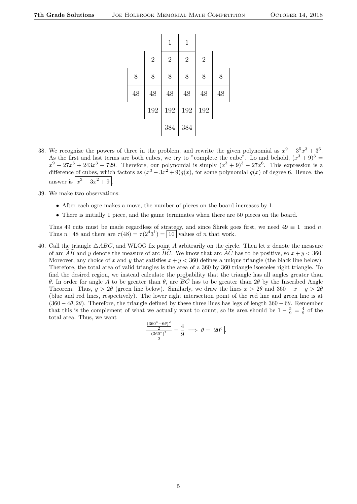|    |            | $\mathbf 1$ | $\mathbf{1}$   |                |    |
|----|------------|-------------|----------------|----------------|----|
|    | $\sqrt{2}$ | $\sqrt{2}$  | $\overline{2}$ | $\overline{2}$ |    |
| 8  | 8          | 8           | 8              | 8              | 8  |
| 48 | 48         | 48          | 48             | 48             | 48 |
|    | 192        | 192         | 192            | 192            |    |
|    |            | 384         | 384            |                |    |

- 38. We recognize the powers of three in the problem, and rewrite the given polynomial as  $x^9 + 3^5x^3 + 3^6$ . As the first and last terms are both cubes, we try to "complete the cube". Lo and behold,  $(x^3 + 9)^3$  $x^9 + 27x^6 + 243x^3 + 729$ . Therefore, our polynomial is simply  $(x^3 + 9)^3 - 27x^6$ . This expression is a difference of cubes, which factors as  $(x^3 - 3x^2 + 9)q(x)$ , for some polynomial  $q(x)$  of degree 6. Hence, the answer is  $\left| x^3 - 3x^2 + 9 \right|$ .
- 39. We make two observations:
	- After each ogre makes a move, the number of pieces on the board increases by 1.
	- There is initially 1 piece, and the game terminates when there are 50 pieces on the board.

Thus 49 cuts must be made regardless of strategy, and since Shrek goes first, we need  $49 \equiv 1 \mod n$ . Thus *n* | 48 and there are  $\tau(48) = \tau(2^43^1) = 10$  values of *n* that work.

40. Call the triangle  $\triangle ABC$ , and WLOG fix point A arbitrarily on the circle. Then let x denote the measure of arc  $\overline{AB}$  and y denote the measure of arc  $\overline{BC}$ . We know that arc  $\overline{AC}$  has to be positive, so  $x + y < 360$ . Moreover, any choice of x and y that satisfies  $x + y < 360$  defines a unique triangle (the black line below). Therefore, the total area of valid triangles is the area of a 360 by 360 triangle isosceles right triangle. To find the desired region, we instead calculate the probability that the triangle has all angles greater than θ. In order for angle A to be greater than θ, arc  $\overline{BC}$  has to be greater than 2θ by the Inscribed Angle Theorem. Thus,  $y > 2\theta$  (green line below). Similarly, we draw the lines  $x > 2\theta$  and  $360 - x - y > 2\theta$ (blue and red lines, respectively). The lower right intersection point of the red line and green line is at  $(360 - 4\theta, 2\theta)$ . Therefore, the triangle defined by these three lines has legs of length 360 − 6 $\theta$ . Remember that this is the complement of what we actually want to count, so its area should be  $1-\frac{5}{9}=\frac{4}{9}$  of the total area. Thus, we want

$$
\frac{\frac{(360^\circ - 6\theta)^2}{2}}{\frac{(360^\circ)^2}{2}} = \frac{4}{9} \implies \theta = 20^\circ.
$$